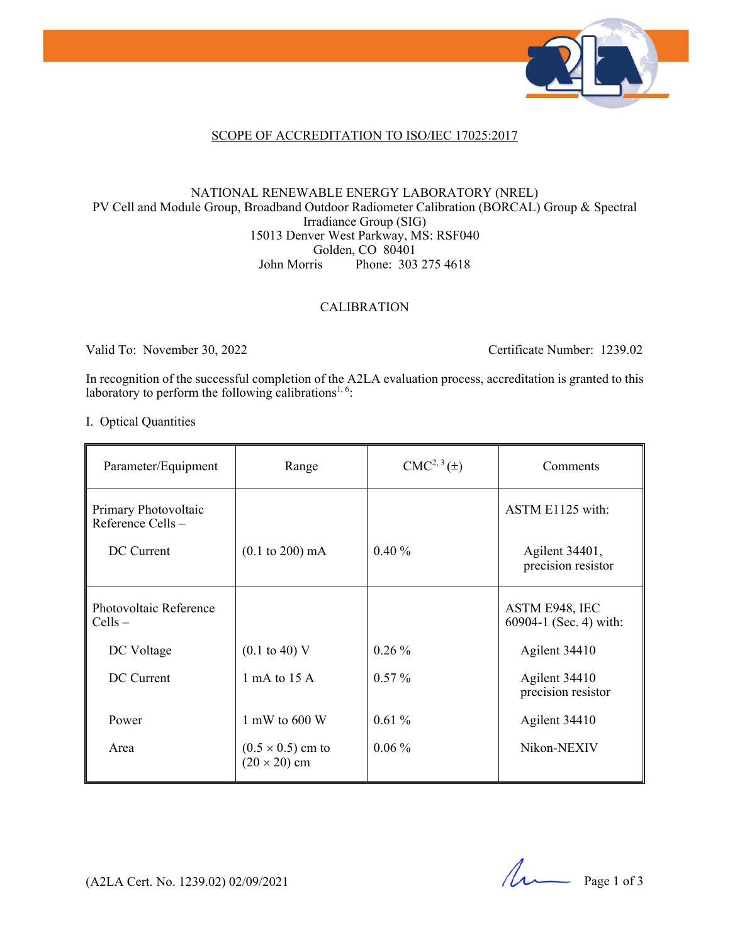

### SCOPE OF ACCREDITATION TO ISO/IEC 17025:2017

#### NATIONAL RENEWABLE ENERGY LABORATORY (NREL) PV Cell and Module Group, Broadband Outdoor Radiometer Calibration (BORCAL) Group & Spectral Irradiance Group (SIG) 15013 Denver West Parkway, MS: RSF040 Golden, CO 80401 John Morris Phone: 303 275 4618

### CALIBRATION

Valid To: November 30, 2022 Certificate Number: 1239.02

In recognition of the successful completion of the A2LA evaluation process, accreditation is granted to this laboratory to perform the following calibrations<sup>1, 6</sup>:

I. Optical Quantities

| Parameter/Equipment                      | Range                                           | $CMC2, 3(\pm)$ | Comments                                 |
|------------------------------------------|-------------------------------------------------|----------------|------------------------------------------|
| Primary Photovoltaic<br>Reference Cells- |                                                 |                | ASTM E1125 with:                         |
| DC Current                               | $(0.1 \text{ to } 200) \text{ mA}$              | 0.40%          | Agilent 34401,<br>precision resistor     |
| Photovoltaic Reference<br>$Cells -$      |                                                 |                | ASTM E948, IEC<br>60904-1 (Sec. 4) with: |
| DC Voltage                               | $(0.1 \text{ to } 40) \text{ V}$                | $0.26\%$       | Agilent 34410                            |
| DC Current                               | 1 mA to 15 A                                    | $0.57\%$       | Agilent 34410<br>precision resistor      |
| Power                                    | 1 mW to $600 W$                                 | 0.61%          | Agilent 34410                            |
| Area                                     | $(0.5 \times 0.5)$ cm to<br>$(20 \times 20)$ cm | $0.06\%$       | Nikon-NEXIV                              |

(A2LA Cert. No. 1239.02) 02/09/2021 Page 1 of 3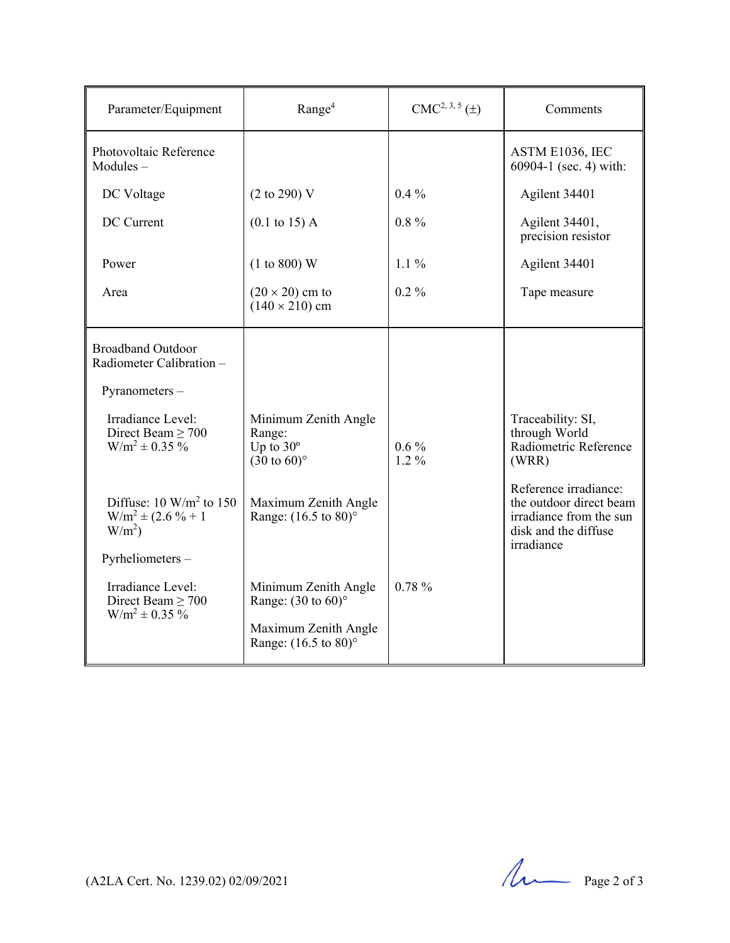| Parameter/Equipment                                                          | Range <sup>4</sup>                                                            | $CMC2, 3, 5(\pm)$  | Comments                                                                                                          |
|------------------------------------------------------------------------------|-------------------------------------------------------------------------------|--------------------|-------------------------------------------------------------------------------------------------------------------|
| Photovoltaic Reference<br>$Modules -$                                        |                                                                               |                    | ASTM E1036, IEC<br>60904-1 (sec. 4) with:                                                                         |
| DC Voltage                                                                   | $(2 \text{ to } 290)$ V                                                       | $0.4\%$            | Agilent 34401                                                                                                     |
| DC Current                                                                   | $(0.1 \text{ to } 15) \text{ A}$                                              | $0.8\%$            | Agilent 34401,<br>precision resistor                                                                              |
| Power                                                                        | (1 to 800) W                                                                  | $1.1\%$            | Agilent 34401                                                                                                     |
| Area                                                                         | $(20 \times 20)$ cm to<br>$(140 \times 210)$ cm                               | $0.2\%$            | Tape measure                                                                                                      |
| <b>Broadband Outdoor</b><br>Radiometer Calibration -<br>Pyranometers-        |                                                                               |                    |                                                                                                                   |
| Irradiance Level:<br>Direct Beam $\geq$ 700<br>$W/m^2 \pm 0.35 \%$           | Minimum Zenith Angle<br>Range:<br>Up to $30^\circ$<br>$(30 \text{ to } 60)$ ° | $0.6\%$<br>$1.2\%$ | Traceability: SI,<br>through World<br>Radiometric Reference<br>(WRR)                                              |
| Diffuse: $10 \text{ W/m}^2$ to $150$<br>$W/m^2 \pm (2.6 % + 1)$<br>$W/m^2$ ) | Maximum Zenith Angle<br>Range: (16.5 to 80)°                                  |                    | Reference irradiance:<br>the outdoor direct beam<br>irradiance from the sun<br>disk and the diffuse<br>irradiance |
| Pyrheliometers-                                                              |                                                                               |                    |                                                                                                                   |
| Irradiance Level:<br>Direct Beam $\geq$ 700<br>$W/m^2 \pm 0.35 \%$           | Minimum Zenith Angle<br>Range: $(30 \text{ to } 60)$ °                        | 0.78%              |                                                                                                                   |
|                                                                              | Maximum Zenith Angle<br>Range: (16.5 to 80)°                                  |                    |                                                                                                                   |

(A2LA Cert. No. 1239.02) 02/09/2021 Page 2 of 3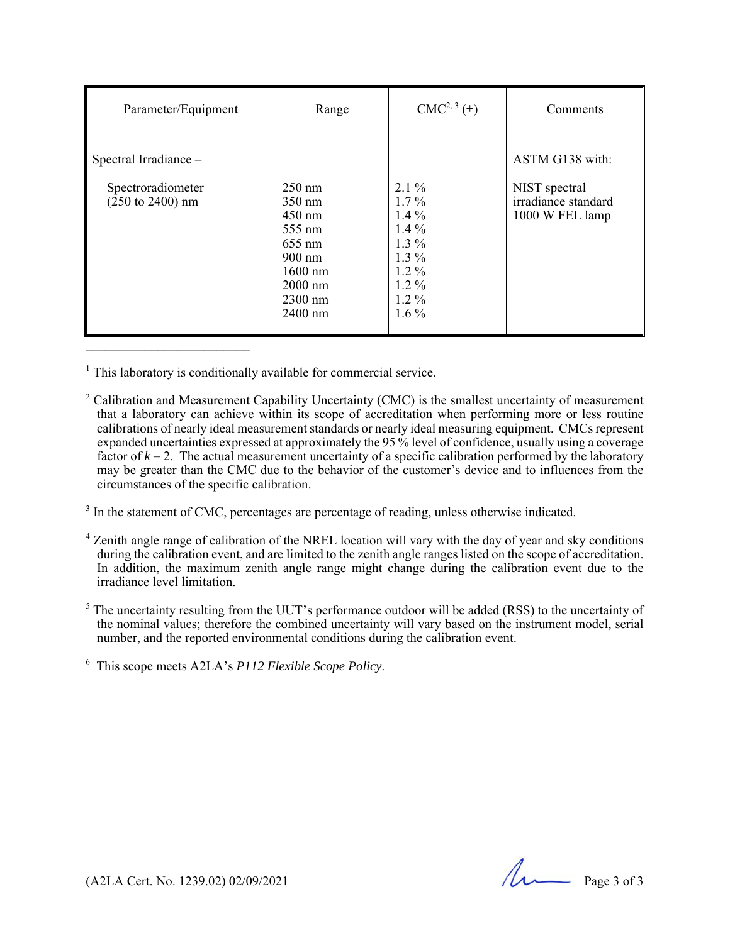| Parameter/Equipment                                                       | Range                                                                                                                                                          | $CMC2, 3(\pm)$                                                                                             | Comments                                                                   |
|---------------------------------------------------------------------------|----------------------------------------------------------------------------------------------------------------------------------------------------------------|------------------------------------------------------------------------------------------------------------|----------------------------------------------------------------------------|
| Spectral Irradiance -<br>Spectroradiometer<br>$(250 \text{ to } 2400)$ nm | $250 \text{ nm}$<br>$350 \text{ nm}$<br>$450$ nm<br>$555 \text{ nm}$<br>655 nm<br>$900 \text{ nm}$<br>$1600 \text{ nm}$<br>$2000$ nm<br>$2300$ nm<br>$2400$ nm | $2.1\%$<br>$1.7\%$<br>$1.4\%$<br>$1.4\%$<br>$1.3\%$<br>$1.3\%$<br>$1.2\%$<br>$1.2\%$<br>$1.2\%$<br>$1.6\%$ | ASTM G138 with:<br>NIST spectral<br>irradiance standard<br>1000 W FEL lamp |

 $<sup>1</sup>$  This laboratory is conditionally available for commercial service.</sup>

- circumstances of the specific calibration. <sup>2</sup> Calibration and Measurement Capability Uncertainty (CMC) is the smallest uncertainty of measurement that a laboratory can achieve within its scope of accreditation when performing more or less routine calibrations of nearly ideal measurement standards or nearly ideal measuring equipment. CMCs represent expanded uncertainties expressed at approximately the 95 % level of confidence, usually using a coverage factor of  $k = 2$ . The actual measurement uncertainty of a specific calibration performed by the laboratory may be greater than the CMC due to the behavior of the customer's device and to influences from the
- $3$  In the statement of CMC, percentages are percentage of reading, unless otherwise indicated.
- <sup>4</sup> Zenith angle range of calibration of the NREL location will vary with the day of year and sky conditions during the calibration event, and are limited to the zenith angle ranges listed on the scope of accreditation. In addition, the maximum zenith angle range might change during the calibration event due to the irradiance level limitation.
- $<sup>5</sup>$  The uncertainty resulting from the UUT's performance outdoor will be added (RSS) to the uncertainty of</sup> the nominal values; therefore the combined uncertainty will vary based on the instrument model, serial number, and the reported environmental conditions during the calibration event.

6 This scope meets A2LA's *P112 Flexible Scope Policy*.

(A2LA Cert. No. 1239.02) 02/09/2021 Page 3 of 3